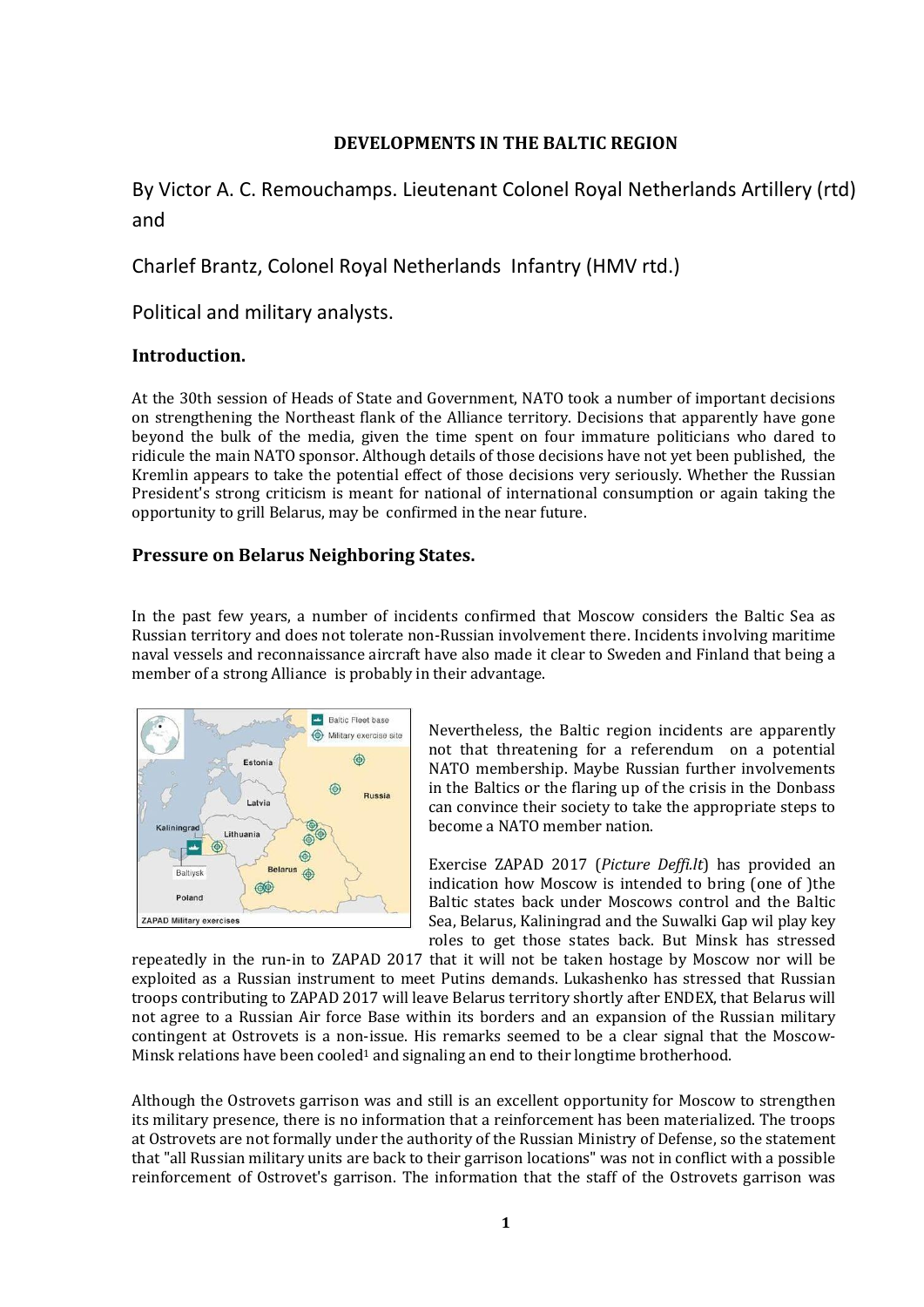### **DEVELOPMENTS IN THE BALTIC REGION**

# By Victor A. C. Remouchamps. Lieutenant Colonel Royal Netherlands Artillery (rtd) and

Charlef Brantz, Colonel Royal Netherlands Infantry (HMV rtd.)

Political and military analysts.

### **Introduction.**

At the 30th session of Heads of State and Government, NATO took a number of important decisions on strengthening the Northeast flank of the Alliance territory. Decisions that apparently have gone beyond the bulk of the media, given the time spent on four immature politicians who dared to ridicule the main NATO sponsor. Although details of those decisions have not yet been published, the Kremlin appears to take the potential effect of those decisions very seriously. Whether the Russian President's strong criticism is meant for national of international consumption or again taking the opportunity to grill Belarus, may be confirmed in the near future.

### **Pressure on Belarus Neighboring States.**

In the past few years, a number of incidents confirmed that Moscow considers the Baltic Sea as Russian territory and does not tolerate non-Russian involvement there. Incidents involving maritime naval vessels and reconnaissance aircraft have also made it clear to Sweden and Finland that being a member of a strong Alliance is probably in their advantage.



Nevertheless, the Baltic region incidents are apparently not that threatening for a referendum on a potential NATO membership. Maybe Russian further involvements in the Baltics or the flaring up of the crisis in the Donbass can convince their society to take the appropriate steps to become a NATO member nation.

Exercise ZAPAD 2017 (*Picture Deffi.lt*) has provided an indication how Moscow is intended to bring (one of )the Baltic states back under Moscows control and the Baltic Sea, Belarus, Kaliningrad and the Suwalki Gap wil play key roles to get those states back. But Minsk has stressed

repeatedly in the run-in to ZAPAD 2017 that it will not be taken hostage by Moscow nor will be exploited as a Russian instrument to meet Putins demands. Lukashenko has stressed that Russian troops contributing to ZAPAD 2017 will leave Belarus territory shortly after ENDEX, that Belarus will not agree to a Russian Air force Base within its borders and an expansion of the Russian military contingent at Ostrovets is a non-issue. His remarks seemed to be a clear signal that the Moscow-Minsk relations have been cooled<sup>1</sup> and signaling an end to their longtime brotherhood.

Although the Ostrovets garrison was and still is an excellent opportunity for Moscow to strengthen its military presence, there is no information that a reinforcement has been materialized. The troops at Ostrovets are not formally under the authority of the Russian Ministry of Defense, so the statement that "all Russian military units are back to their garrison locations" was not in conflict with a possible reinforcement of Ostrovet's garrison. The information that the staff of the Ostrovets garrison was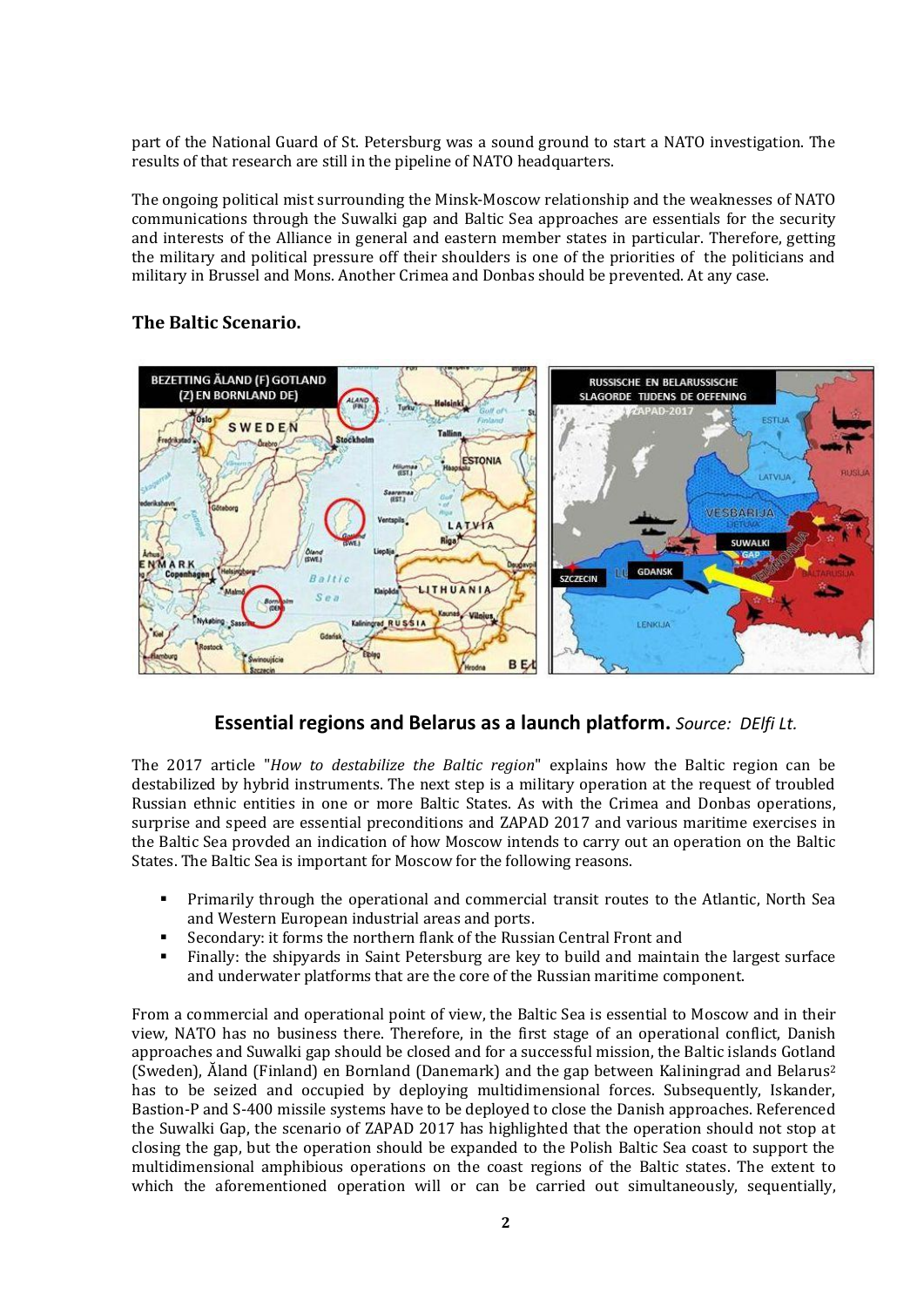part of the National Guard of St. Petersburg was a sound ground to start a NATO investigation. The results of that research are still in the pipeline of NATO headquarters.

The ongoing political mist surrounding the Minsk-Moscow relationship and the weaknesses of NATO communications through the Suwalki gap and Baltic Sea approaches are essentials for the security and interests of the Alliance in general and eastern member states in particular. Therefore, getting the military and political pressure off their shoulders is one of the priorities of the politicians and military in Brussel and Mons. Another Crimea and Donbas should be prevented. At any case.

## **The Baltic Scenario.**



# **Essential regions and Belarus as a launch platform.** *Source: DElfi Lt.*

The 2017 article "*How to destabilize the Baltic region*" explains how the Baltic region can be destabilized by hybrid instruments. The next step is a military operation at the request of troubled Russian ethnic entities in one or more Baltic States. As with the Crimea and Donbas operations, surprise and speed are essential preconditions and ZAPAD 2017 and various maritime exercises in the Baltic Sea provded an indication of how Moscow intends to carry out an operation on the Baltic States. The Baltic Sea is important for Moscow for the following reasons.

- **•** Primarily through the operational and commercial transit routes to the Atlantic, North Sea and Western European industrial areas and ports.
- Secondary: it forms the northern flank of the Russian Central Front and
- Finally: the shipyards in Saint Petersburg are key to build and maintain the largest surface and underwater platforms that are the core of the Russian maritime component.

From a commercial and operational point of view, the Baltic Sea is essential to Moscow and in their view, NATO has no business there. Therefore, in the first stage of an operational conflict, Danish approaches and Suwalki gap should be closed and for a successful mission, the Baltic islands Gotland (Sweden), Ăland (Finland) en Bornland (Danemark) and the gap between Kaliningrad and Belarus<sup>2</sup> has to be seized and occupied by deploying multidimensional forces. Subsequently, Iskander, Bastion-P and S-400 missile systems have to be deployed to close the Danish approaches. Referenced the Suwalki Gap, the scenario of ZAPAD 2017 has highlighted that the operation should not stop at closing the gap, but the operation should be expanded to the Polish Baltic Sea coast to support the multidimensional amphibious operations on the coast regions of the Baltic states. The extent to which the aforementioned operation will or can be carried out simultaneously, sequentially,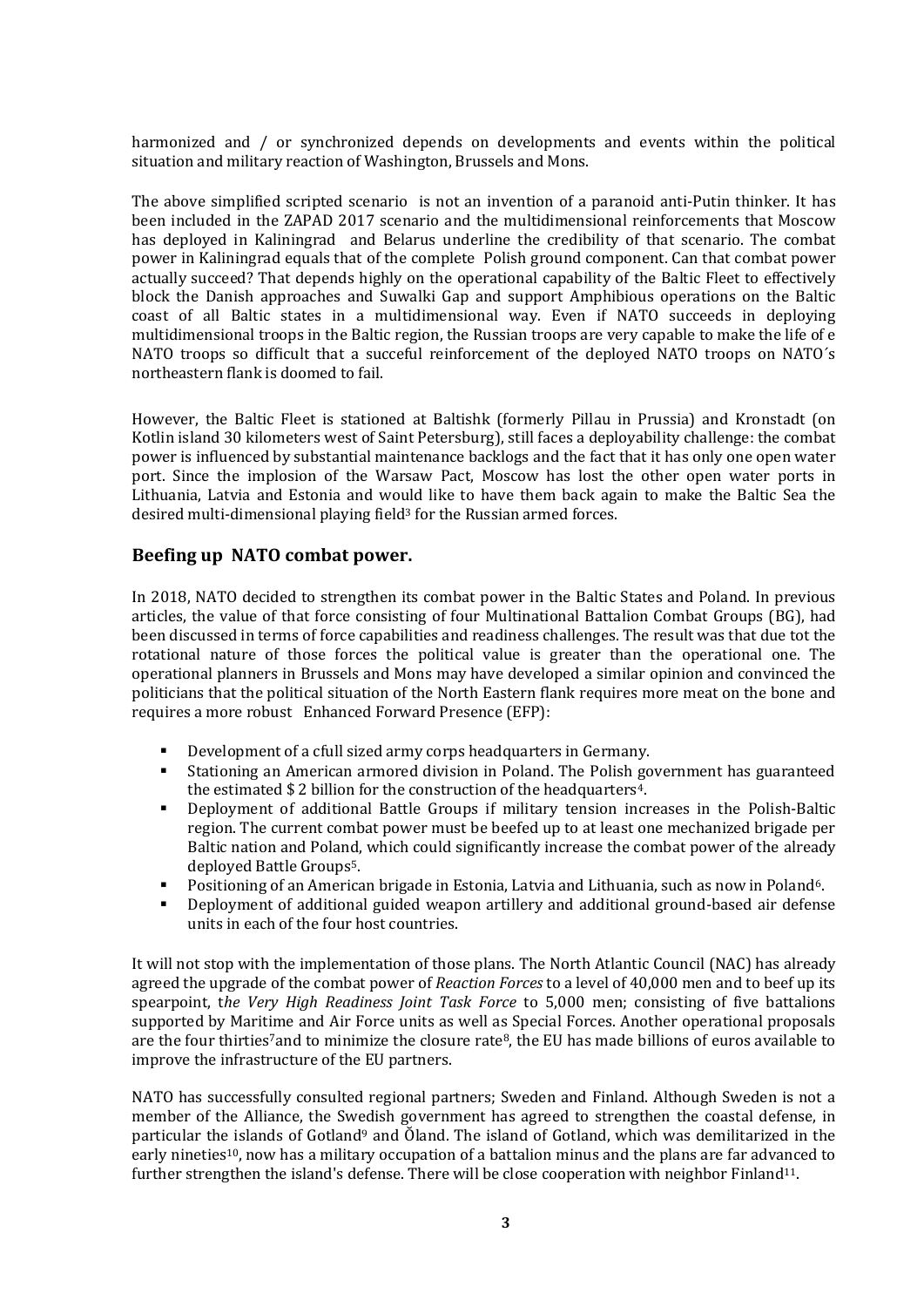harmonized and / or synchronized depends on developments and events within the political situation and military reaction of Washington, Brussels and Mons.

The above simplified scripted scenario is not an invention of a paranoid anti-Putin thinker. It has been included in the ZAPAD 2017 scenario and the multidimensional reinforcements that Moscow has deployed in Kaliningrad and Belarus underline the credibility of that scenario. The combat power in Kaliningrad equals that of the complete Polish ground component. Can that combat power actually succeed? That depends highly on the operational capability of the Baltic Fleet to effectively block the Danish approaches and Suwalki Gap and support Amphibious operations on the Baltic coast of all Baltic states in a multidimensional way. Even if NATO succeeds in deploying multidimensional troops in the Baltic region, the Russian troops are very capable to make the life of e NATO troops so difficult that a succeful reinforcement of the deployed NATO troops on NATO's northeastern flank is doomed to fail.

However, the Baltic Fleet is stationed at Baltishk (formerly Pillau in Prussia) and Kronstadt (on Kotlin island 30 kilometers west of Saint Petersburg), still faces a deployability challenge: the combat power is influenced by substantial maintenance backlogs and the fact that it has only one open water port. Since the implosion of the Warsaw Pact, Moscow has lost the other open water ports in Lithuania, Latvia and Estonia and would like to have them back again to make the Baltic Sea the desired multi-dimensional playing field<sup>3</sup> for the Russian armed forces.

#### **Beefing up NATO combat power.**

In 2018, NATO decided to strengthen its combat power in the Baltic States and Poland. In previous articles, the value of that force consisting of four Multinational Battalion Combat Groups (BG), had been discussed in terms of force capabilities and readiness challenges. The result was that due tot the rotational nature of those forces the political value is greater than the operational one. The operational planners in Brussels and Mons may have developed a similar opinion and convinced the politicians that the political situation of the North Eastern flank requires more meat on the bone and requires a more robust Enhanced Forward Presence (EFP):

- Development of a cfull sized army corps headquarters in Germany.
- Stationing an American armored division in Poland. The Polish government has guaranteed the estimated \$2 billion for the construction of the headquarters<sup>4</sup>.
- Deployment of additional Battle Groups if military tension increases in the Polish-Baltic region. The current combat power must be beefed up to at least one mechanized brigade per Baltic nation and Poland, which could significantly increase the combat power of the already deployed Battle Groups5.
- Positioning of an American brigade in Estonia, Latvia and Lithuania, such as now in Poland<sup>6</sup>.
- Deployment of additional guided weapon artillery and additional ground-based air defense units in each of the four host countries.

It will not stop with the implementation of those plans. The North Atlantic Council (NAC) has already agreed the upgrade of the combat power of *Reaction Forces* to a level of 40,000 men and to beef up its spearpoint, t*he Very High Readiness Joint Task Force* to 5,000 men; consisting of five battalions supported by Maritime and Air Force units as well as Special Forces. Another operational proposals are the four thirties<sup>7</sup>and to minimize the closure rate<sup>8</sup>, the EU has made billions of euros available to improve the infrastructure of the EU partners.

NATO has successfully consulted regional partners; Sweden and Finland. Although Sweden is not a member of the Alliance, the Swedish government has agreed to strengthen the coastal defense, in particular the islands of Gotland<sup>9</sup> and Oland. The island of Gotland, which was demilitarized in the early nineties10, now has a military occupation of a battalion minus and the plans are far advanced to further strengthen the island's defense. There will be close cooperation with neighbor Finland<sup>11</sup>.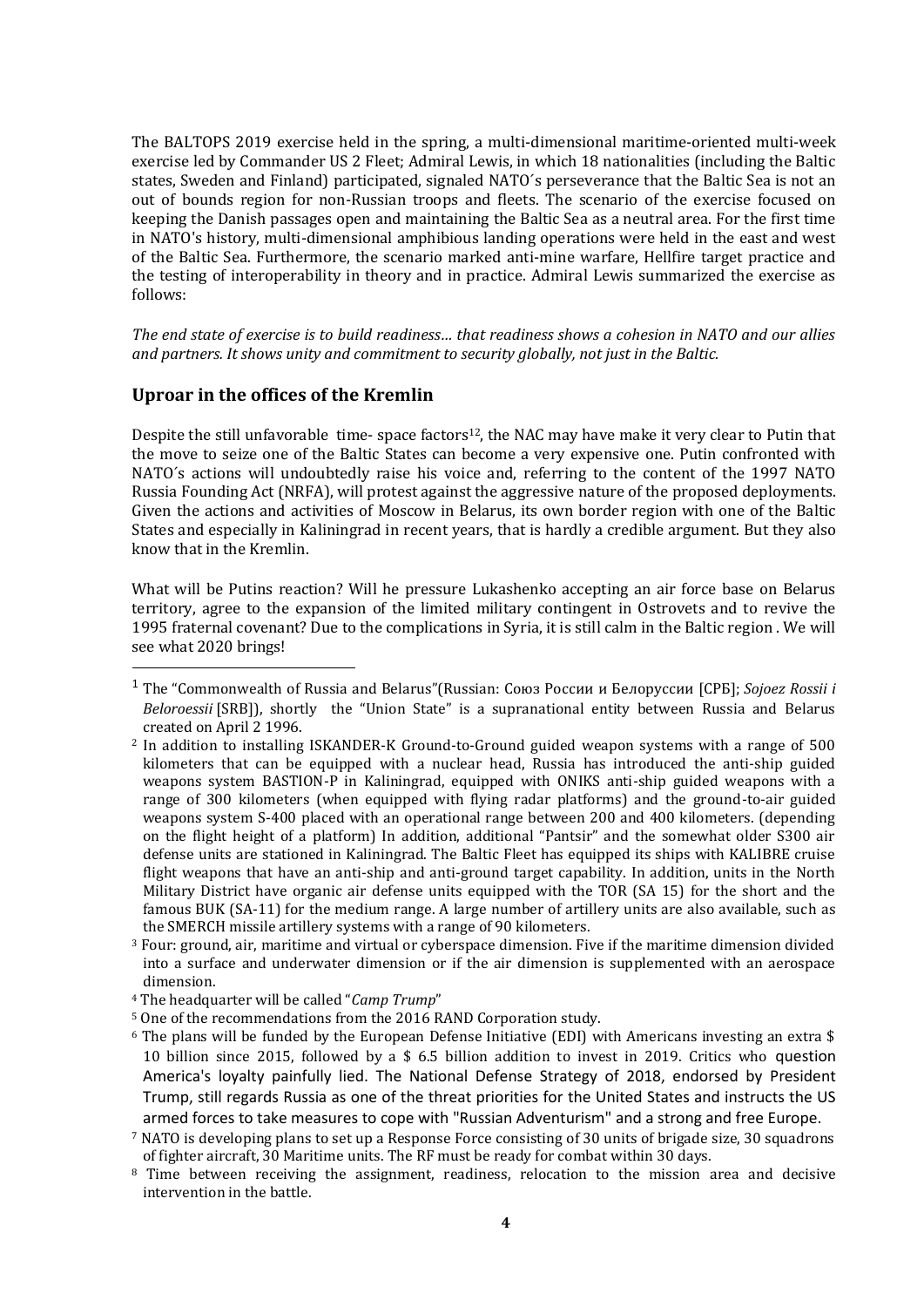The BALTOPS 2019 exercise held in the spring, a multi-dimensional maritime-oriented multi-week exercise led by Commander US 2 Fleet; Admiral Lewis, in which 18 nationalities (including the Baltic states, Sweden and Finland) participated, signaled NATO´s perseverance that the Baltic Sea is not an out of bounds region for non-Russian troops and fleets. The scenario of the exercise focused on keeping the Danish passages open and maintaining the Baltic Sea as a neutral area. For the first time in NATO's history, multi-dimensional amphibious landing operations were held in the east and west of the Baltic Sea. Furthermore, the scenario marked anti-mine warfare, Hellfire target practice and the testing of interoperability in theory and in practice. Admiral Lewis summarized the exercise as follows:

*The end state of exercise is to build readiness… that readiness shows a cohesion in NATO and our allies and partners. It shows unity and commitment to security globally, not just in the Baltic.*

#### **Uproar in the offices of the Kremlin**

Despite the still unfavorable time-space factors<sup>12</sup>, the NAC may have make it very clear to Putin that the move to seize one of the Baltic States can become a very expensive one. Putin confronted with NATO´s actions will undoubtedly raise his voice and, referring to the content of the 1997 NATO Russia Founding Act (NRFA), will protest against the aggressive nature of the proposed deployments. Given the actions and activities of Moscow in Belarus, its own border region with one of the Baltic States and especially in Kaliningrad in recent years, that is hardly a credible argument. But they also know that in the Kremlin.

What will be Putins reaction? Will he pressure Lukashenko accepting an air force base on Belarus territory, agree to the expansion of the limited military contingent in Ostrovets and to revive the 1995 fraternal covenant? Due to the complications in Syria, it is still calm in the Baltic region . We will see what 2020 brings!

<sup>1</sup> The "Commonwealth of Russia and Belarus"(Russian: Союз России и Белоруссии [СРБ]; *Sojoez Rossii i Beloroessii* [SRB]), shortly the "Union State" is a supranational entity between Russia and Belarus created on April 2 1996.

<sup>2</sup> In addition to installing ISKANDER-K Ground-to-Ground guided weapon systems with a range of 500 kilometers that can be equipped with a nuclear head, Russia has introduced the anti-ship guided weapons system BASTION-P in Kaliningrad, equipped with ONIKS anti-ship guided weapons with a range of 300 kilometers (when equipped with flying radar platforms) and the ground-to-air guided weapons system S-400 placed with an operational range between 200 and 400 kilometers. (depending on the flight height of a platform) In addition, additional "Pantsir" and the somewhat older S300 air defense units are stationed in Kaliningrad. The Baltic Fleet has equipped its ships with KALIBRE cruise flight weapons that have an anti-ship and anti-ground target capability. In addition, units in the North Military District have organic air defense units equipped with the TOR (SA 15) for the short and the famous BUK (SA-11) for the medium range. A large number of artillery units are also available, such as the SMERCH missile artillery systems with a range of 90 kilometers.

 $3$  Four: ground, air, maritime and virtual or cyberspace dimension. Five if the maritime dimension divided into a surface and underwater dimension or if the air dimension is supplemented with an aerospace dimension.

<sup>4</sup> The headquarter will be called "*Camp Trump*"

<sup>5</sup> One of the recommendations from the 2016 RAND Corporation study.

 $6$  The plans will be funded by the European Defense Initiative (EDI) with Americans investing an extra \$ 10 billion since 2015, followed by a \$ 6.5 billion addition to invest in 2019. Critics who question America's loyalty painfully lied. The National Defense Strategy of 2018, endorsed by President Trump, still regards Russia as one of the threat priorities for the United States and instructs the US armed forces to take measures to cope with "Russian Adventurism" and a strong and free Europe.

<sup>7</sup> NATO is developing plans to set up a Response Force consisting of 30 units of brigade size, 30 squadrons of fighter aircraft, 30 Maritime units. The RF must be ready for combat within 30 days.

<sup>&</sup>lt;sup>8</sup> Time between receiving the assignment, readiness, relocation to the mission area and decisive intervention in the battle.